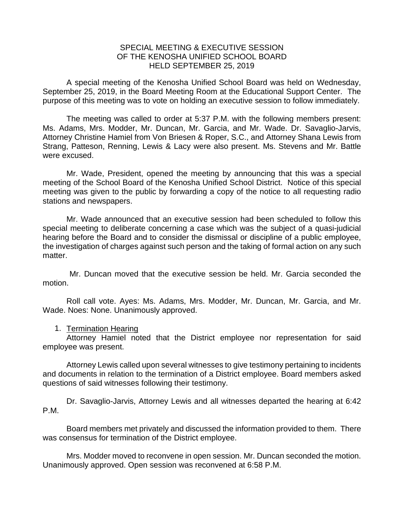## SPECIAL MEETING & EXECUTIVE SESSION OF THE KENOSHA UNIFIED SCHOOL BOARD HELD SEPTEMBER 25, 2019

A special meeting of the Kenosha Unified School Board was held on Wednesday, September 25, 2019, in the Board Meeting Room at the Educational Support Center. The purpose of this meeting was to vote on holding an executive session to follow immediately.

The meeting was called to order at 5:37 P.M. with the following members present: Ms. Adams, Mrs. Modder, Mr. Duncan, Mr. Garcia, and Mr. Wade. Dr. Savaglio-Jarvis, Attorney Christine Hamiel from Von Briesen & Roper, S.C., and Attorney Shana Lewis from Strang, Patteson, Renning, Lewis & Lacy were also present. Ms. Stevens and Mr. Battle were excused.

Mr. Wade, President, opened the meeting by announcing that this was a special meeting of the School Board of the Kenosha Unified School District. Notice of this special meeting was given to the public by forwarding a copy of the notice to all requesting radio stations and newspapers.

Mr. Wade announced that an executive session had been scheduled to follow this special meeting to deliberate concerning a case which was the subject of a quasi-judicial hearing before the Board and to consider the dismissal or discipline of a public employee, the investigation of charges against such person and the taking of formal action on any such matter.

Mr. Duncan moved that the executive session be held. Mr. Garcia seconded the motion.

Roll call vote. Ayes: Ms. Adams, Mrs. Modder, Mr. Duncan, Mr. Garcia, and Mr. Wade. Noes: None. Unanimously approved.

## 1. Termination Hearing

Attorney Hamiel noted that the District employee nor representation for said employee was present.

Attorney Lewis called upon several witnesses to give testimony pertaining to incidents and documents in relation to the termination of a District employee. Board members asked questions of said witnesses following their testimony.

Dr. Savaglio-Jarvis, Attorney Lewis and all witnesses departed the hearing at 6:42 P.M.

Board members met privately and discussed the information provided to them. There was consensus for termination of the District employee.

Mrs. Modder moved to reconvene in open session. Mr. Duncan seconded the motion. Unanimously approved. Open session was reconvened at 6:58 P.M.